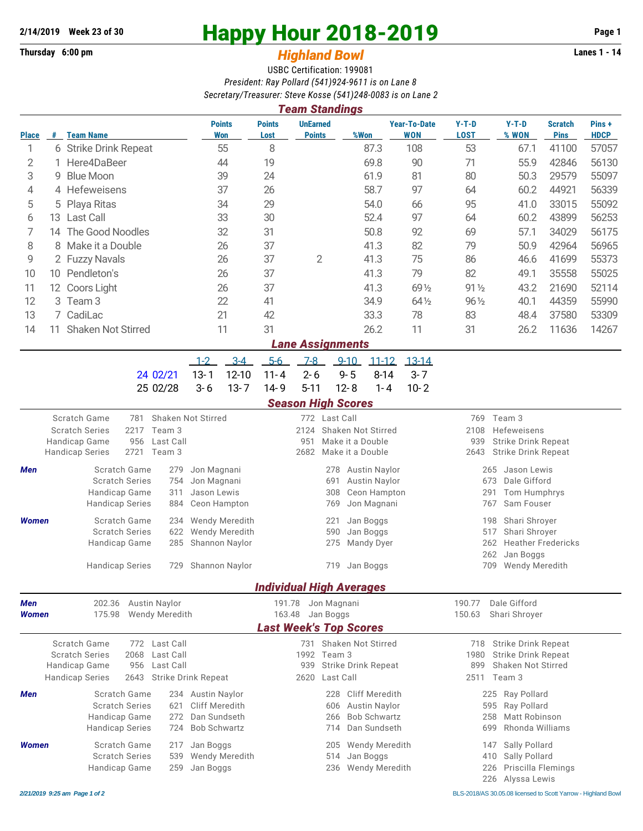## **Thursday 6:00 pm** *Highland Bowl*

## **2/14/2019** Week 23 of 30<br>
Thursday 6:00 pm<br> **2018-2019** Page 1<br> **2018-2019** Page 1<br> **2019** Page 1<br>
Lanes 1 - 14

## USBC Certification: 199081 *President: Ray Pollard (541)924-9611 is on Lane 8 Secretary/Treasurer: Steve Kosse (541)248-0083 is on Lane 2*

|              |                                                              |                                                                                                                           |              |                      |                                          |                             |                         | 3001 clary/11 casul cl. 31 cvc KOSSC (341 /240-0003 is 011 Lance<br><b>Team Standings</b> |                                     |                                                               |                      |                                                                         |                                        |                                        |                    |                               |                       |  |
|--------------|--------------------------------------------------------------|---------------------------------------------------------------------------------------------------------------------------|--------------|----------------------|------------------------------------------|-----------------------------|-------------------------|-------------------------------------------------------------------------------------------|-------------------------------------|---------------------------------------------------------------|----------------------|-------------------------------------------------------------------------|----------------------------------------|----------------------------------------|--------------------|-------------------------------|-----------------------|--|
| <b>Place</b> |                                                              | # Team Name                                                                                                               |              |                      |                                          | <b>Points</b><br><b>Won</b> | <b>Points</b><br>Lost   | <b>UnEarned</b><br><b>Points</b>                                                          |                                     | %Won                                                          |                      | <b>Year-To-Date</b><br><b>WON</b>                                       | $Y-T-D$<br><b>LOST</b>                 |                                        | $Y-T-D$<br>% WON   | <b>Scratch</b><br><b>Pins</b> | Pins +<br><b>HDCP</b> |  |
| 1            |                                                              | 6 Strike Drink Repeat                                                                                                     |              |                      | 55                                       | 8                           |                         |                                                                                           | 87.3                                |                                                               | 108                  | 53                                                                      |                                        | 67.1                                   | 41100              | 57057                         |                       |  |
| 2            | 1.                                                           | Here4DaBeer                                                                                                               |              | 44                   |                                          | 19                          |                         |                                                                                           | 69.8                                |                                                               | 90                   | 71                                                                      |                                        | 55.9                                   | 42846              | 56130                         |                       |  |
| 3            | 9                                                            | <b>Blue Moon</b>                                                                                                          |              |                      |                                          | 39                          |                         |                                                                                           |                                     | 61.9                                                          |                      | 81                                                                      | 80                                     |                                        | 50.3               | 29579                         | 55097                 |  |
| 4            |                                                              | 4 Hefeweisens                                                                                                             |              |                      |                                          | 37                          |                         |                                                                                           |                                     | 58.7                                                          |                      | 97                                                                      | 64                                     |                                        | 60.2               | 44921                         | 56339                 |  |
| 5            | 5.                                                           | Playa Ritas                                                                                                               |              |                      |                                          | 34                          |                         |                                                                                           |                                     | 54.0                                                          |                      | 66                                                                      | 95                                     |                                        | 41.0               | 33015                         | 55092                 |  |
| 6            |                                                              | 13 Last Call                                                                                                              |              |                      |                                          | 33                          | 30                      |                                                                                           |                                     | 52.4                                                          |                      | 97                                                                      | 64                                     |                                        | 60.2               | 43899                         | 56253                 |  |
| 7            |                                                              | 14 The Good Noodles                                                                                                       |              |                      | 32                                       |                             | 31                      |                                                                                           |                                     | 50.8                                                          |                      | 92                                                                      | 69                                     |                                        | 57.1               | 34029                         | 56175                 |  |
| 8            | 8 Make it a Double                                           |                                                                                                                           |              | 26                   |                                          | 37                          |                         |                                                                                           | 41.3                                |                                                               | 82                   | 79                                                                      |                                        | 50.9                                   | 42964              | 56965                         |                       |  |
| 9            |                                                              | 2 Fuzzy Navals                                                                                                            |              |                      | 26                                       |                             | 37                      | $\overline{2}$                                                                            |                                     | 41.3                                                          |                      | 75                                                                      | 86                                     |                                        | 46.6               | 41699                         | 55373                 |  |
| 10           |                                                              | 10 Pendleton's                                                                                                            |              |                      | 26                                       |                             | 37                      |                                                                                           |                                     | 41.3                                                          |                      | 79                                                                      | 82                                     |                                        | 49.1               | 35558                         | 55025                 |  |
| 11           |                                                              | 12 Coors Light                                                                                                            |              | 26                   |                                          | 37                          |                         |                                                                                           | 41.3                                |                                                               | 69 1/2               | $91\frac{1}{2}$                                                         |                                        | 43.2                                   | 21690              | 52114                         |                       |  |
| 12           |                                                              | 3 Team 3                                                                                                                  |              |                      |                                          | 22                          | 41                      |                                                                                           |                                     | 34.9                                                          |                      | 64 1/2                                                                  | $96\frac{1}{2}$                        |                                        | 40.1               | 44359                         | 55990                 |  |
| 13           |                                                              | 7 CadiLac                                                                                                                 |              |                      |                                          | 21                          | 42                      |                                                                                           |                                     | 33.3                                                          |                      | 78                                                                      | 83                                     |                                        | 48.4               | 37580                         | 53309                 |  |
| 14           |                                                              | 11 Shaken Not Stirred                                                                                                     |              |                      |                                          | 11                          | 31                      |                                                                                           |                                     | 26.2                                                          |                      | 11                                                                      | 31                                     |                                        | 26.2               | 11636                         | 14267                 |  |
|              |                                                              |                                                                                                                           |              |                      |                                          |                             |                         | <b>Lane Assignments</b>                                                                   |                                     |                                                               |                      |                                                                         |                                        |                                        |                    |                               |                       |  |
|              |                                                              |                                                                                                                           |              |                      | $1 - 2$                                  | $3 - 4$                     | $5 - 6$                 | $7 - 8$                                                                                   | $9 - 10$                            | $11 - 12$                                                     |                      | $13 - 14$                                                               |                                        |                                        |                    |                               |                       |  |
|              |                                                              |                                                                                                                           |              | 24 02/21             | $13 - 1$                                 | $12 - 10$                   | $11 - 4$                | $2 - 6$                                                                                   | $9 - 5$                             |                                                               | $8 - 14$             | $3 - 7$                                                                 |                                        |                                        |                    |                               |                       |  |
|              |                                                              |                                                                                                                           |              | 25 02/28             | $3 - 6$                                  | $13 - 7$                    | $14 - 9$                | $5 - 11$                                                                                  | $12 - 8$                            |                                                               | $1 - 4$              | $10 - 2$                                                                |                                        |                                        |                    |                               |                       |  |
|              |                                                              |                                                                                                                           |              |                      |                                          |                             |                         | <b>Season High Scores</b>                                                                 |                                     |                                                               |                      |                                                                         |                                        |                                        |                    |                               |                       |  |
|              |                                                              | Scratch Game<br>Shaken Not Stirred<br>781<br><b>Scratch Series</b><br>2217<br>Team 3<br>Handicap Game<br>956<br>Last Call |              |                      |                                          |                             |                         | 772 Last Call<br>2124<br>Shaken Not Stirred<br>Make it a Double                           |                                     |                                                               |                      |                                                                         | Team 3<br>769                          |                                        |                    |                               |                       |  |
|              |                                                              |                                                                                                                           |              |                      |                                          |                             |                         |                                                                                           |                                     |                                                               |                      |                                                                         | 2108<br>Hefeweisens                    |                                        |                    |                               |                       |  |
|              |                                                              | 2721<br>Team 3<br><b>Handicap Series</b>                                                                                  |              |                      |                                          |                             | 951<br>2682             |                                                                                           | Make it a Double                    |                                                               |                      | <b>Strike Drink Repeat</b><br>939<br><b>Strike Drink Repeat</b><br>2643 |                                        |                                        |                    |                               |                       |  |
|              | Scratch Game<br>279<br>Jon Magnani                           |                                                                                                                           |              |                      |                                          |                             |                         |                                                                                           |                                     |                                                               |                      | Jason Lewis<br>265                                                      |                                        |                                        |                    |                               |                       |  |
| Men          |                                                              | <b>Scratch Series</b><br>754                                                                                              |              |                      | Jon Magnani                              |                             |                         |                                                                                           | 278<br>691                          | Austin Naylor<br><b>Austin Naylor</b>                         |                      |                                                                         | 673<br>Dale Gifford                    |                                        |                    |                               |                       |  |
|              |                                                              | Handicap Game<br>311                                                                                                      |              |                      | Jason Lewis                              |                             |                         |                                                                                           | 308                                 | Ceon Hampton                                                  |                      |                                                                         | Tom Humphrys<br>291                    |                                        |                    |                               |                       |  |
|              |                                                              | <b>Handicap Series</b><br>884                                                                                             |              |                      |                                          | Ceon Hampton                |                         |                                                                                           | 769                                 | Jon Magnani                                                   |                      |                                                                         |                                        | 767                                    | Sam Fouser         |                               |                       |  |
| <b>Women</b> |                                                              | Scratch Game                                                                                                              |              |                      |                                          | 234 Wendy Meredith          |                         |                                                                                           | 221                                 | Jan Boggs                                                     |                      |                                                                         |                                        | 198                                    | Shari Shroyer      |                               |                       |  |
|              |                                                              | <b>Scratch Series</b><br>622                                                                                              |              | Wendy Meredith       |                                          |                             | 590<br>Jan Boggs<br>275 |                                                                                           |                                     |                                                               | Shari Shroyer<br>517 |                                                                         |                                        |                                        |                    |                               |                       |  |
|              |                                                              | Handicap Game                                                                                                             |              | 285 Shannon Naylor   |                                          |                             |                         | Mandy Dyer                                                                                |                                     |                                                               |                      | 262<br>262                                                              | <b>Heather Fredericks</b><br>Jan Boggs |                                        |                    |                               |                       |  |
|              |                                                              | <b>Handicap Series</b>                                                                                                    |              |                      |                                          | 729 Shannon Naylor          |                         |                                                                                           |                                     | 719 Jan Boggs                                                 |                      |                                                                         |                                        |                                        |                    |                               |                       |  |
|              |                                                              |                                                                                                                           |              |                      |                                          |                             |                         |                                                                                           |                                     |                                                               |                      |                                                                         |                                        |                                        | 709 Wendy Meredith |                               |                       |  |
|              |                                                              |                                                                                                                           |              |                      |                                          |                             |                         | <b>Individual High Averages</b>                                                           |                                     |                                                               |                      |                                                                         |                                        |                                        |                    |                               |                       |  |
| <b>Men</b>   |                                                              | 202.36                                                                                                                    |              | <b>Austin Naylor</b> |                                          |                             |                         | 191.78 Jon Magnani                                                                        |                                     |                                                               |                      |                                                                         | 190.77                                 |                                        | Dale Gifford       |                               |                       |  |
| <b>Women</b> |                                                              | 175.98<br>Wendy Meredith                                                                                                  |              |                      |                                          |                             |                         | 163.48 Jan Boggs<br><b>Last Week's Top Scores</b>                                         |                                     |                                                               |                      |                                                                         | 150.63<br>Shari Shroyer                |                                        |                    |                               |                       |  |
|              |                                                              | Scratch Game                                                                                                              |              |                      |                                          |                             |                         |                                                                                           |                                     |                                                               |                      |                                                                         |                                        |                                        |                    |                               |                       |  |
|              | 772 Last Call<br><b>Scratch Series</b><br>2068<br>Last Call  |                                                                                                                           |              |                      | 731 Shaken Not Stirred<br>1992<br>Team 3 |                             |                         |                                                                                           |                                     | 718 Strike Drink Repeat<br><b>Strike Drink Repeat</b><br>1980 |                      |                                                                         |                                        |                                        |                    |                               |                       |  |
|              |                                                              | Last Call<br>Handicap Game<br>956                                                                                         |              |                      |                                          |                             |                         | 939<br>Strike Drink Repeat                                                                |                                     |                                                               |                      |                                                                         | 899                                    |                                        | Shaken Not Stirred |                               |                       |  |
|              | <b>Handicap Series</b><br><b>Strike Drink Repeat</b><br>2643 |                                                                                                                           |              |                      |                                          | 2620<br>Last Call           |                         |                                                                                           |                                     |                                                               | 2511 Team 3          |                                                                         |                                        |                                        |                    |                               |                       |  |
| Men          |                                                              |                                                                                                                           | Scratch Game |                      | 234 Austin Naylor                        |                             |                         |                                                                                           | 228                                 | <b>Cliff Meredith</b>                                         |                      |                                                                         |                                        |                                        | 225 Ray Pollard    |                               |                       |  |
|              |                                                              | <b>Scratch Series</b><br>621                                                                                              |              |                      | <b>Cliff Meredith</b>                    |                             |                         | Austin Naylor<br>606                                                                      |                                     |                                                               |                      |                                                                         | Ray Pollard<br>595                     |                                        |                    |                               |                       |  |
|              |                                                              | Handicap Game<br>272                                                                                                      |              |                      | Dan Sundseth                             |                             |                         |                                                                                           | 266                                 | <b>Bob Schwartz</b>                                           |                      |                                                                         |                                        | 258                                    | Matt Robinson      |                               |                       |  |
|              |                                                              | <b>Handicap Series</b>                                                                                                    |              | 724                  | <b>Bob Schwartz</b>                      |                             |                         |                                                                                           |                                     | 714 Dan Sundseth                                              |                      |                                                                         |                                        | 699                                    | Rhonda Williams    |                               |                       |  |
| <b>Women</b> |                                                              | Scratch Game<br>217<br><b>Scratch Series</b>                                                                              |              | Jan Boggs            | 539 Wendy Meredith                       |                             |                         |                                                                                           | 205 Wendy Meredith<br>514 Jan Boggs |                                                               |                      |                                                                         |                                        | 147 Sally Pollard<br>410 Sally Pollard |                    |                               |                       |  |

Handicap Game 259 Jan Boggs 236 Wendy Meredith 226 Priscilla Flemings

226 Alyssa Lewis